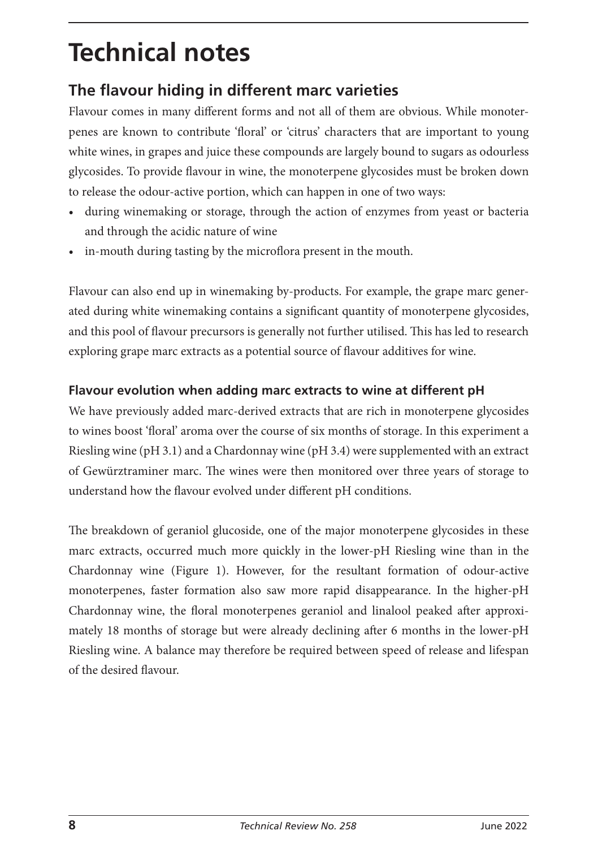# **Technical notes**

# **The flavour hiding in different marc varieties**

Flavour comes in many different forms and not all of them are obvious. While monoterpenes are known to contribute 'floral' or 'citrus' characters that are important to young white wines, in grapes and juice these compounds are largely bound to sugars as odourless glycosides. To provide flavour in wine, the monoterpene glycosides must be broken down to release the odour-active portion, which can happen in one of two ways:

- during winemaking or storage, through the action of enzymes from yeast or bacteria and through the acidic nature of wine
- in-mouth during tasting by the microflora present in the mouth.

Flavour can also end up in winemaking by-products. For example, the grape marc generated during white winemaking contains a significant quantity of monoterpene glycosides, and this pool of flavour precursors is generally not further utilised. This has led to research exploring grape marc extracts as a potential source of flavour additives for wine.

## **Flavour evolution when adding marc extracts to wine at different pH**

We have previously added marc-derived extracts that are rich in monoterpene glycosides to wines boost 'floral' aroma over the course of six months of storage. In this experiment a Riesling wine (pH 3.1) and a Chardonnay wine (pH 3.4) were supplemented with an extract of Gewürztraminer marc. The wines were then monitored over three years of storage to understand how the flavour evolved under different pH conditions.

The breakdown of geraniol glucoside, one of the major monoterpene glycosides in these marc extracts, occurred much more quickly in the lower-pH Riesling wine than in the Chardonnay wine (Figure 1). However, for the resultant formation of odour-active monoterpenes, faster formation also saw more rapid disappearance. In the higher-pH Chardonnay wine, the floral monoterpenes geraniol and linalool peaked after approximately 18 months of storage but were already declining after 6 months in the lower-pH Riesling wine. A balance may therefore be required between speed of release and lifespan of the desired flavour.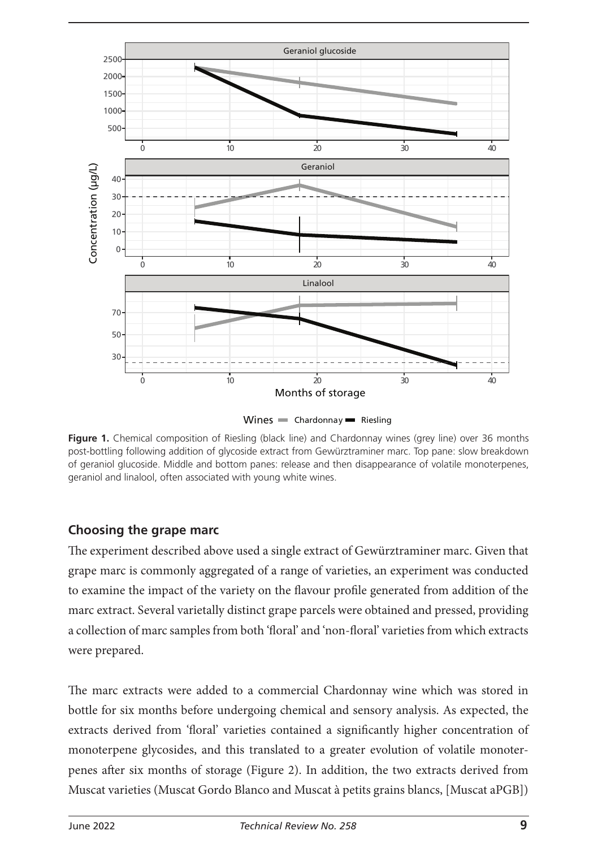

**Figure 1.** Chemical composition of Riesling (black line) and Chardonnay wines (grey line) over 36 months post-bottling following addition of glycoside extract from Gewürztraminer marc. Top pane: slow breakdown of geraniol glucoside. Middle and bottom panes: release and then disappearance of volatile monoterpenes, geraniol and linalool, often associated with young white wines.

#### **Choosing the grape marc**

The experiment described above used a single extract of Gewürztraminer marc. Given that grape marc is commonly aggregated of a range of varieties, an experiment was conducted to examine the impact of the variety on the flavour profile generated from addition of the marc extract. Several varietally distinct grape parcels were obtained and pressed, providing a collection of marc samples from both 'floral' and 'non-floral' varieties from which extracts were prepared.

The marc extracts were added to a commercial Chardonnay wine which was stored in bottle for six months before undergoing chemical and sensory analysis. As expected, the extracts derived from 'floral' varieties contained a significantly higher concentration of monoterpene glycosides, and this translated to a greater evolution of volatile monoterpenes after six months of storage (Figure 2). In addition, the two extracts derived from Muscat varieties (Muscat Gordo Blanco and Muscat à petits grains blancs, [Muscat aPGB])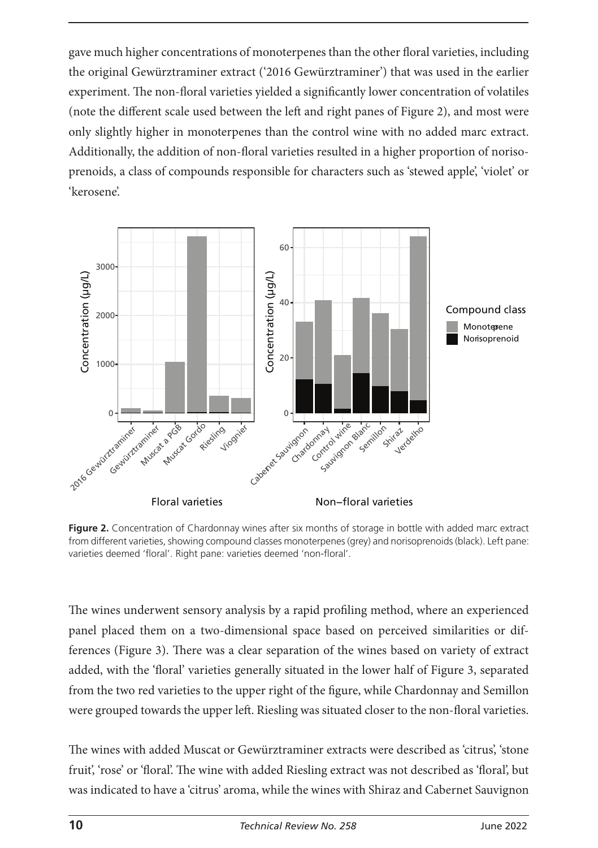gave much higher concentrations of monoterpenes than the other floral varieties, including the original Gewürztraminer extract ('2016 Gewürztraminer') that was used in the earlier experiment. The non-floral varieties yielded a significantly lower concentration of volatiles (note the different scale used between the left and right panes of Figure 2), and most were only slightly higher in monoterpenes than the control wine with no added marc extract. Additionally, the addition of non-floral varieties resulted in a higher proportion of norisoprenoids, a class of compounds responsible for characters such as 'stewed apple', 'violet' or 'kerosene'.



**Figure 2.** Concentration of Chardonnay wines after six months of storage in bottle with added marc extract from different varieties, showing compound classes monoterpenes (grey) and norisoprenoids (black). Left pane: varieties deemed 'floral'. Right pane: varieties deemed 'non-floral'.

The wines underwent sensory analysis by a rapid profiling method, where an experienced panel placed them on a two-dimensional space based on perceived similarities or differences (Figure 3). There was a clear separation of the wines based on variety of extract added, with the 'floral' varieties generally situated in the lower half of Figure 3, separated from the two red varieties to the upper right of the figure, while Chardonnay and Semillon were grouped towards the upper left. Riesling was situated closer to the non-floral varieties.

The wines with added Muscat or Gewürztraminer extracts were described as 'citrus', 'stone fruit', 'rose' or 'floral'. The wine with added Riesling extract was not described as 'floral', but was indicated to have a 'citrus' aroma, while the wines with Shiraz and Cabernet Sauvignon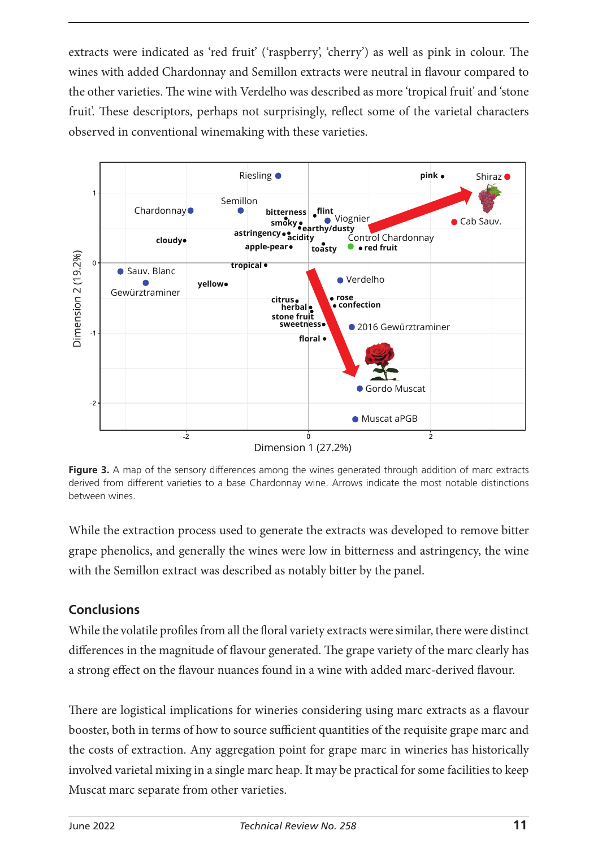extracts were indicated as 'red fruit' ('raspberry', 'cherry') as well as pink in colour. The wines with added Chardonnay and Semillon extracts were neutral in flavour compared to the other varieties. The wine with Verdelho was described as more 'tropical fruit' and 'stone fruit'. These descriptors, perhaps not surprisingly, reflect some of the varietal characters observed in conventional winemaking with these varieties.



**Figure 3.** A map of the sensory differences among the wines generated through addition of marc extracts derived from different varieties to a base Chardonnay wine. Arrows indicate the most notable distinctions between wines.

While the extraction process used to generate the extracts was developed to remove bitter grape phenolics, and generally the wines were low in bitterness and astringency, the wine with the Semillon extract was described as notably bitter by the panel.

### **Conclusions**

While the volatile profiles from all the floral variety extracts were similar, there were distinct differences in the magnitude of flavour generated. The grape variety of the marc clearly has a strong effect on the flavour nuances found in a wine with added marc-derived flavour.

There are logistical implications for wineries considering using marc extracts as a flavour booster, both in terms of how to source sufficient quantities of the requisite grape marc and the costs of extraction. Any aggregation point for grape marc in wineries has historically involved varietal mixing in a single marc heap. It may be practical for some facilities to keep Muscat marc separate from other varieties.